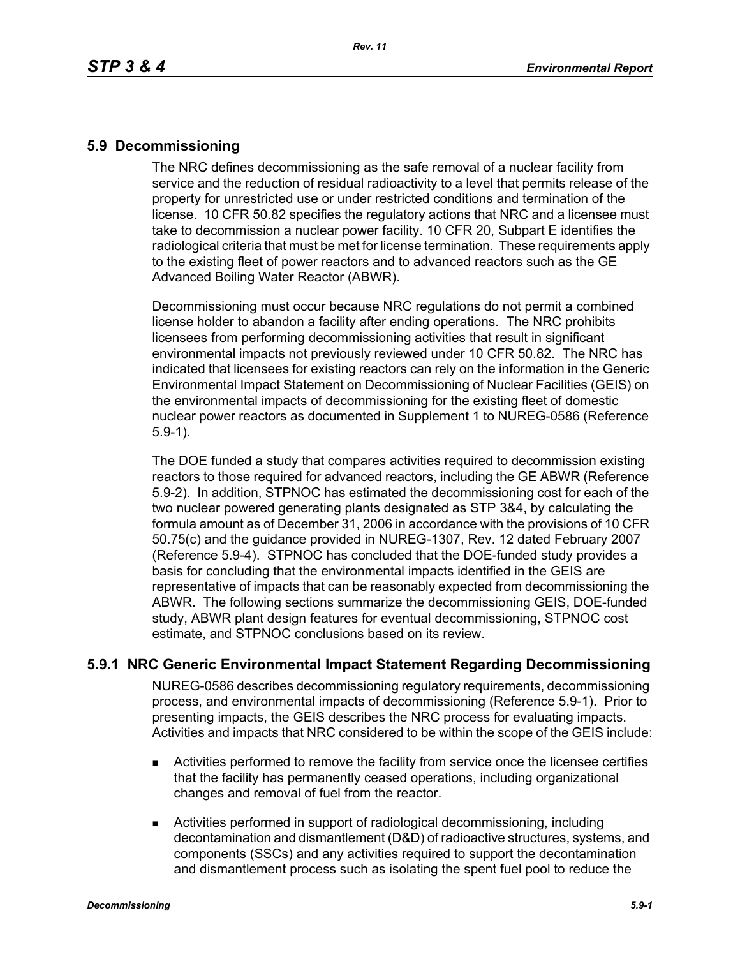### **5.9 Decommissioning**

The NRC defines decommissioning as the safe removal of a nuclear facility from service and the reduction of residual radioactivity to a level that permits release of the property for unrestricted use or under restricted conditions and termination of the license. 10 CFR 50.82 specifies the regulatory actions that NRC and a licensee must take to decommission a nuclear power facility. 10 CFR 20, Subpart E identifies the radiological criteria that must be met for license termination. These requirements apply to the existing fleet of power reactors and to advanced reactors such as the GE Advanced Boiling Water Reactor (ABWR).

Decommissioning must occur because NRC regulations do not permit a combined license holder to abandon a facility after ending operations. The NRC prohibits licensees from performing decommissioning activities that result in significant environmental impacts not previously reviewed under 10 CFR 50.82. The NRC has indicated that licensees for existing reactors can rely on the information in the Generic Environmental Impact Statement on Decommissioning of Nuclear Facilities (GEIS) on the environmental impacts of decommissioning for the existing fleet of domestic nuclear power reactors as documented in Supplement 1 to NUREG-0586 (Reference 5.9-1).

The DOE funded a study that compares activities required to decommission existing reactors to those required for advanced reactors, including the GE ABWR (Reference 5.9-2). In addition, STPNOC has estimated the decommissioning cost for each of the two nuclear powered generating plants designated as STP 3&4, by calculating the formula amount as of December 31, 2006 in accordance with the provisions of 10 CFR 50.75(c) and the guidance provided in NUREG-1307, Rev. 12 dated February 2007 (Reference 5.9-4). STPNOC has concluded that the DOE-funded study provides a basis for concluding that the environmental impacts identified in the GEIS are representative of impacts that can be reasonably expected from decommissioning the ABWR. The following sections summarize the decommissioning GEIS, DOE-funded study, ABWR plant design features for eventual decommissioning, STPNOC cost estimate, and STPNOC conclusions based on its review.

## **5.9.1 NRC Generic Environmental Impact Statement Regarding Decommissioning**

NUREG-0586 describes decommissioning regulatory requirements, decommissioning process, and environmental impacts of decommissioning (Reference 5.9-1). Prior to presenting impacts, the GEIS describes the NRC process for evaluating impacts. Activities and impacts that NRC considered to be within the scope of the GEIS include:

- Activities performed to remove the facility from service once the licensee certifies that the facility has permanently ceased operations, including organizational changes and removal of fuel from the reactor.
- Activities performed in support of radiological decommissioning, including decontamination and dismantlement (D&D) of radioactive structures, systems, and components (SSCs) and any activities required to support the decontamination and dismantlement process such as isolating the spent fuel pool to reduce the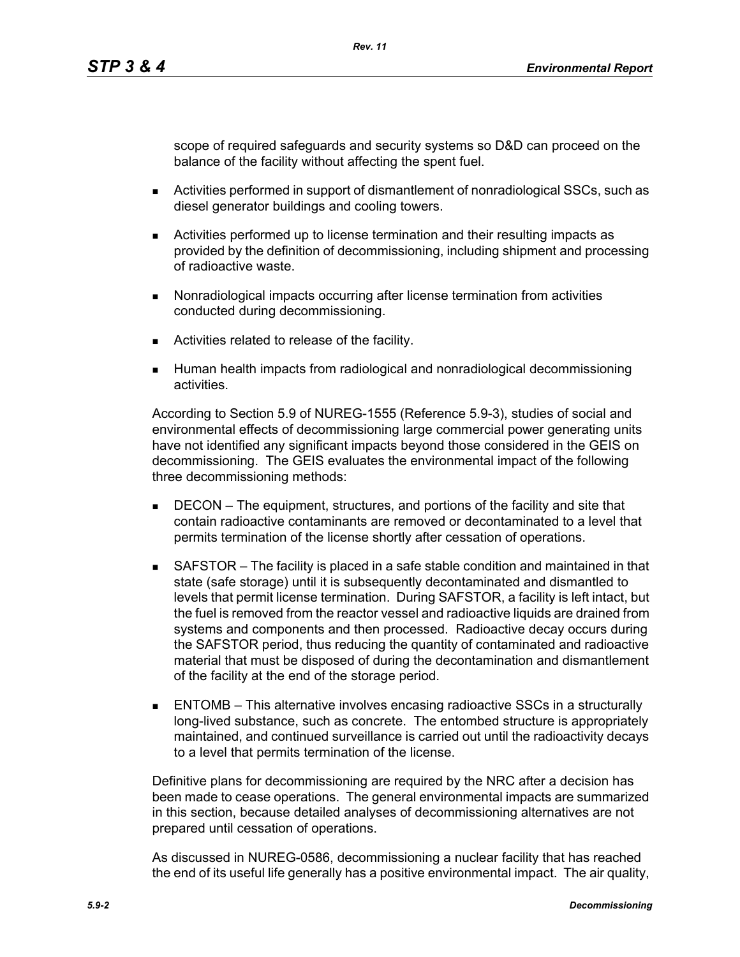scope of required safeguards and security systems so D&D can proceed on the balance of the facility without affecting the spent fuel.

- Activities performed in support of dismantlement of nonradiological SSCs, such as diesel generator buildings and cooling towers.
- Activities performed up to license termination and their resulting impacts as provided by the definition of decommissioning, including shipment and processing of radioactive waste.
- **Nonradiological impacts occurring after license termination from activities** conducted during decommissioning.
- **EXEC** Activities related to release of the facility.
- Human health impacts from radiological and nonradiological decommissioning activities.

According to Section 5.9 of NUREG-1555 (Reference 5.9-3), studies of social and environmental effects of decommissioning large commercial power generating units have not identified any significant impacts beyond those considered in the GEIS on decommissioning. The GEIS evaluates the environmental impact of the following three decommissioning methods:

- **DECON** The equipment, structures, and portions of the facility and site that contain radioactive contaminants are removed or decontaminated to a level that permits termination of the license shortly after cessation of operations.
- SAFSTOR The facility is placed in a safe stable condition and maintained in that state (safe storage) until it is subsequently decontaminated and dismantled to levels that permit license termination. During SAFSTOR, a facility is left intact, but the fuel is removed from the reactor vessel and radioactive liquids are drained from systems and components and then processed. Radioactive decay occurs during the SAFSTOR period, thus reducing the quantity of contaminated and radioactive material that must be disposed of during the decontamination and dismantlement of the facility at the end of the storage period.
- ENTOMB This alternative involves encasing radioactive SSCs in a structurally long-lived substance, such as concrete. The entombed structure is appropriately maintained, and continued surveillance is carried out until the radioactivity decays to a level that permits termination of the license.

Definitive plans for decommissioning are required by the NRC after a decision has been made to cease operations. The general environmental impacts are summarized in this section, because detailed analyses of decommissioning alternatives are not prepared until cessation of operations.

As discussed in NUREG-0586, decommissioning a nuclear facility that has reached the end of its useful life generally has a positive environmental impact. The air quality,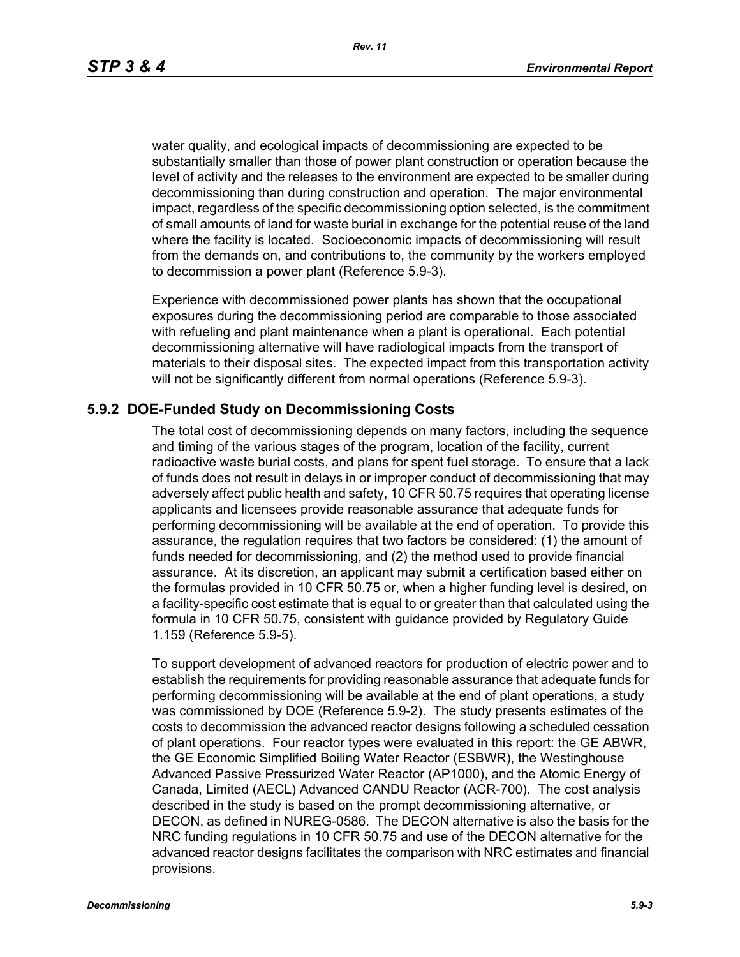*Rev. 11*

water quality, and ecological impacts of decommissioning are expected to be substantially smaller than those of power plant construction or operation because the level of activity and the releases to the environment are expected to be smaller during decommissioning than during construction and operation. The major environmental impact, regardless of the specific decommissioning option selected, is the commitment of small amounts of land for waste burial in exchange for the potential reuse of the land where the facility is located. Socioeconomic impacts of decommissioning will result from the demands on, and contributions to, the community by the workers employed to decommission a power plant (Reference 5.9-3).

Experience with decommissioned power plants has shown that the occupational exposures during the decommissioning period are comparable to those associated with refueling and plant maintenance when a plant is operational. Each potential decommissioning alternative will have radiological impacts from the transport of materials to their disposal sites. The expected impact from this transportation activity will not be significantly different from normal operations (Reference 5.9-3).

#### **5.9.2 DOE-Funded Study on Decommissioning Costs**

The total cost of decommissioning depends on many factors, including the sequence and timing of the various stages of the program, location of the facility, current radioactive waste burial costs, and plans for spent fuel storage. To ensure that a lack of funds does not result in delays in or improper conduct of decommissioning that may adversely affect public health and safety, 10 CFR 50.75 requires that operating license applicants and licensees provide reasonable assurance that adequate funds for performing decommissioning will be available at the end of operation. To provide this assurance, the regulation requires that two factors be considered: (1) the amount of funds needed for decommissioning, and (2) the method used to provide financial assurance. At its discretion, an applicant may submit a certification based either on the formulas provided in 10 CFR 50.75 or, when a higher funding level is desired, on a facility-specific cost estimate that is equal to or greater than that calculated using the formula in 10 CFR 50.75, consistent with guidance provided by Regulatory Guide 1.159 (Reference 5.9-5).

To support development of advanced reactors for production of electric power and to establish the requirements for providing reasonable assurance that adequate funds for performing decommissioning will be available at the end of plant operations, a study was commissioned by DOE (Reference 5.9-2). The study presents estimates of the costs to decommission the advanced reactor designs following a scheduled cessation of plant operations. Four reactor types were evaluated in this report: the GE ABWR, the GE Economic Simplified Boiling Water Reactor (ESBWR), the Westinghouse Advanced Passive Pressurized Water Reactor (AP1000), and the Atomic Energy of Canada, Limited (AECL) Advanced CANDU Reactor (ACR-700). The cost analysis described in the study is based on the prompt decommissioning alternative, or DECON, as defined in NUREG-0586. The DECON alternative is also the basis for the NRC funding regulations in 10 CFR 50.75 and use of the DECON alternative for the advanced reactor designs facilitates the comparison with NRC estimates and financial provisions.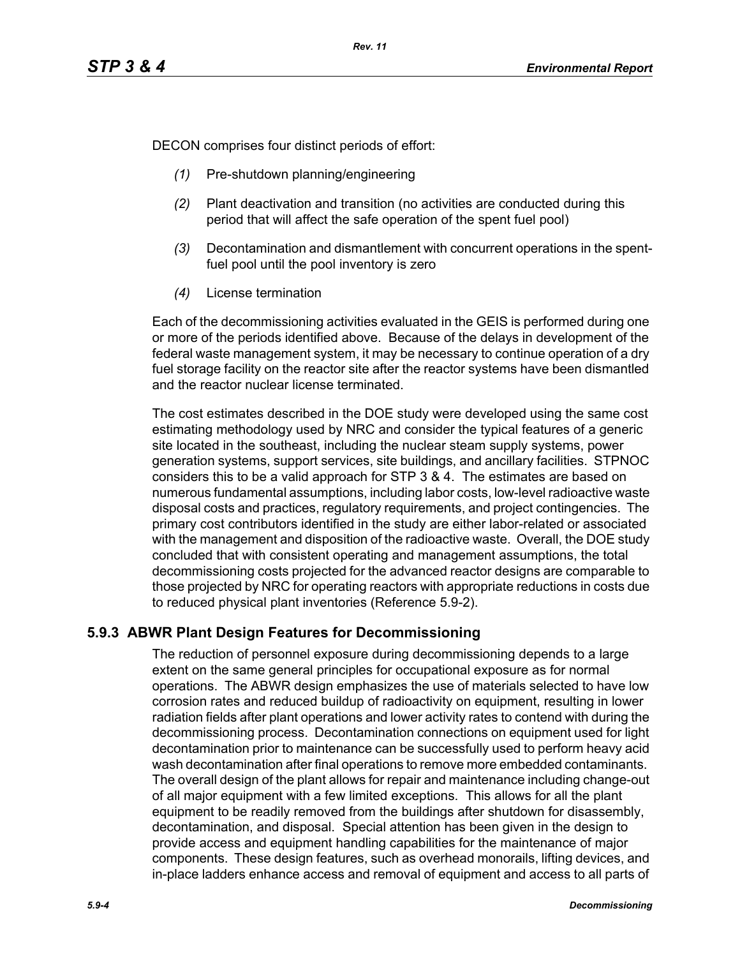DECON comprises four distinct periods of effort:

- *(1)* Pre-shutdown planning/engineering
- *(2)* Plant deactivation and transition (no activities are conducted during this period that will affect the safe operation of the spent fuel pool)
- *(3)* Decontamination and dismantlement with concurrent operations in the spentfuel pool until the pool inventory is zero
- *(4)* License termination

Each of the decommissioning activities evaluated in the GEIS is performed during one or more of the periods identified above. Because of the delays in development of the federal waste management system, it may be necessary to continue operation of a dry fuel storage facility on the reactor site after the reactor systems have been dismantled and the reactor nuclear license terminated.

The cost estimates described in the DOE study were developed using the same cost estimating methodology used by NRC and consider the typical features of a generic site located in the southeast, including the nuclear steam supply systems, power generation systems, support services, site buildings, and ancillary facilities. STPNOC considers this to be a valid approach for STP 3 & 4. The estimates are based on numerous fundamental assumptions, including labor costs, low-level radioactive waste disposal costs and practices, regulatory requirements, and project contingencies. The primary cost contributors identified in the study are either labor-related or associated with the management and disposition of the radioactive waste. Overall, the DOE study concluded that with consistent operating and management assumptions, the total decommissioning costs projected for the advanced reactor designs are comparable to those projected by NRC for operating reactors with appropriate reductions in costs due to reduced physical plant inventories (Reference 5.9-2).

# **5.9.3 ABWR Plant Design Features for Decommissioning**

The reduction of personnel exposure during decommissioning depends to a large extent on the same general principles for occupational exposure as for normal operations. The ABWR design emphasizes the use of materials selected to have low corrosion rates and reduced buildup of radioactivity on equipment, resulting in lower radiation fields after plant operations and lower activity rates to contend with during the decommissioning process. Decontamination connections on equipment used for light decontamination prior to maintenance can be successfully used to perform heavy acid wash decontamination after final operations to remove more embedded contaminants. The overall design of the plant allows for repair and maintenance including change-out of all major equipment with a few limited exceptions. This allows for all the plant equipment to be readily removed from the buildings after shutdown for disassembly, decontamination, and disposal. Special attention has been given in the design to provide access and equipment handling capabilities for the maintenance of major components. These design features, such as overhead monorails, lifting devices, and in-place ladders enhance access and removal of equipment and access to all parts of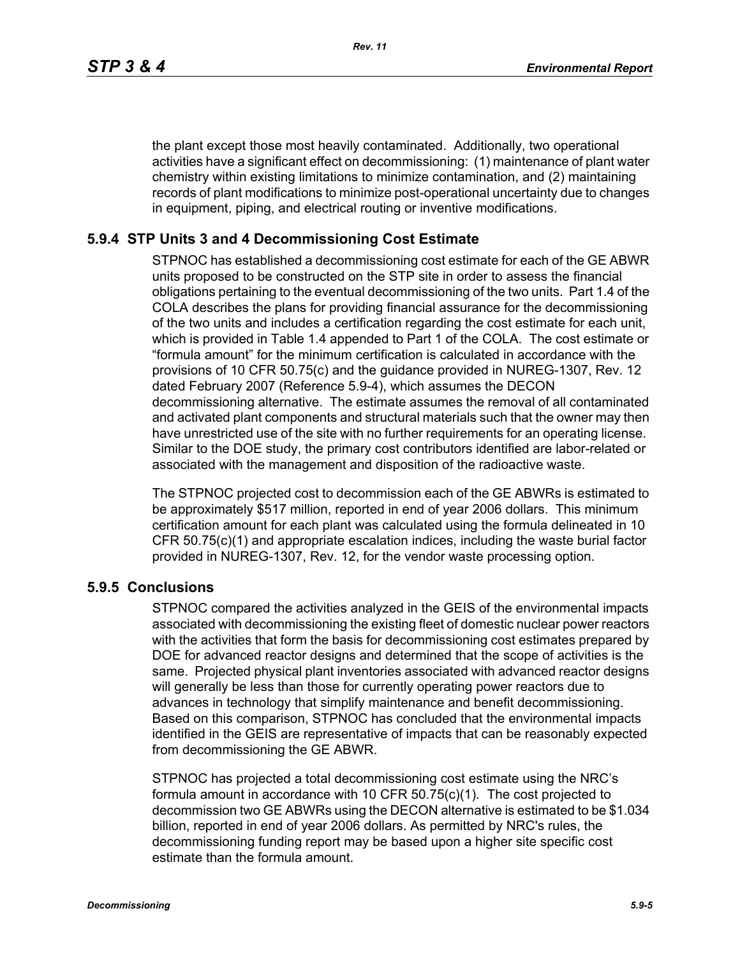the plant except those most heavily contaminated. Additionally, two operational activities have a significant effect on decommissioning: (1) maintenance of plant water chemistry within existing limitations to minimize contamination, and (2) maintaining records of plant modifications to minimize post-operational uncertainty due to changes in equipment, piping, and electrical routing or inventive modifications.

# **5.9.4 STP Units 3 and 4 Decommissioning Cost Estimate**

STPNOC has established a decommissioning cost estimate for each of the GE ABWR units proposed to be constructed on the STP site in order to assess the financial obligations pertaining to the eventual decommissioning of the two units. Part 1.4 of the COLA describes the plans for providing financial assurance for the decommissioning of the two units and includes a certification regarding the cost estimate for each unit, which is provided in Table 1.4 appended to Part 1 of the COLA. The cost estimate or "formula amount" for the minimum certification is calculated in accordance with the provisions of 10 CFR 50.75(c) and the guidance provided in NUREG-1307, Rev. 12 dated February 2007 (Reference 5.9-4), which assumes the DECON decommissioning alternative. The estimate assumes the removal of all contaminated and activated plant components and structural materials such that the owner may then have unrestricted use of the site with no further requirements for an operating license. Similar to the DOE study, the primary cost contributors identified are labor-related or associated with the management and disposition of the radioactive waste.

The STPNOC projected cost to decommission each of the GE ABWRs is estimated to be approximately \$517 million, reported in end of year 2006 dollars. This minimum certification amount for each plant was calculated using the formula delineated in 10 CFR 50.75(c)(1) and appropriate escalation indices, including the waste burial factor provided in NUREG-1307, Rev. 12, for the vendor waste processing option.

## **5.9.5 Conclusions**

STPNOC compared the activities analyzed in the GEIS of the environmental impacts associated with decommissioning the existing fleet of domestic nuclear power reactors with the activities that form the basis for decommissioning cost estimates prepared by DOE for advanced reactor designs and determined that the scope of activities is the same. Projected physical plant inventories associated with advanced reactor designs will generally be less than those for currently operating power reactors due to advances in technology that simplify maintenance and benefit decommissioning. Based on this comparison, STPNOC has concluded that the environmental impacts identified in the GEIS are representative of impacts that can be reasonably expected from decommissioning the GE ABWR.

STPNOC has projected a total decommissioning cost estimate using the NRC's formula amount in accordance with 10 CFR 50.75(c)(1). The cost projected to decommission two GE ABWRs using the DECON alternative is estimated to be \$1.034 billion, reported in end of year 2006 dollars. As permitted by NRC's rules, the decommissioning funding report may be based upon a higher site specific cost estimate than the formula amount.